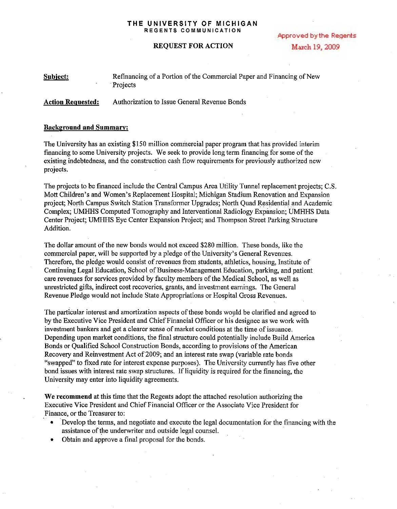#### THE UNIVERSITY OF MICHIGAN REGENTS COMMUNICATION

**Approved by the Regents** March 19, 2009

### REQUEST FOR ACTION

| Subject: | Refinancing of a Portion of the Commercial Paper and Financing of New |  |
|----------|-----------------------------------------------------------------------|--|
|          | <b>Projects</b>                                                       |  |

Action Requested: Authorization to Issue General Revenue Bonds

### Background and Summary:

The University has an existing \$150 million commercial paper program that has provided interim financing to some University projects. We seek to provide long term financing for some ofthe existing indebtedness, and the construction cash flow requirements for previously authorized new projects.

The projects to be financed include the Central Campus Area Utility Tunnel replacement projects; C.S. Mott Children's and Women's Replacement Hospital; Michigan Stadium Renovation and Expansion project; North Campus Switch Station Transformer Upgrades; North Quad Residential and Academic Complex; UMHHS Computed Tomography and Interventional Radiology Expansion; UMHHS Data Center Project; UMHHS Eye Center Expansion Project; and Thompson Street Parking Structure Addition.

The dollar amount of the new bonds would not exceed \$280 million. These bonds, like the commercial paper, will be supported by a pledge of the University's General Revenues. Therefore, the pledge would consist of revenues from students, athletics, housing, Institute of Continuing Legal Education, School of Business-Management Education, parking, and patient care revenues for services provided by faculty members of the Medical School, as well as unrestricted gifts, indirect cost recoveries, grants, and investment earnings. The General Revenue Pledge would not include State Appropriations or Hospital Gross Revenues.

The particular interest and amortization aspects of these bonds would be clarified and agreed to by the Executive Vice President and Chief Financial Officer or his designee as we work with investment bankers and get a clearer sense of market conditions at the time of issuance. Depending upon market conditions, the final structure could potentially include Build America Bonds or Qualified School Construction Bonds, according to provisions of the American Recovery and Reinvestment Act of 2009; and an interest rate swap (variable rate bonds "swapped" to fixed rate for interest expense purposes). The University currently has five other bond issues with interest rate swap structures. If liquidity is required for the financing, the University may enter into liquidity agreements.

We recommend at this time that the Regents adopt the attached resolution authorizing the Executive Vice President and Chief Financial Officer or the Associate Vice President for Finance, or the Treasurer to:

- Develop the terms, and negotiate and execute the legal documentation for the financing with the assistance of the underwriter and outside legal counsel.
- Obtain and approve a final proposal for the bonds.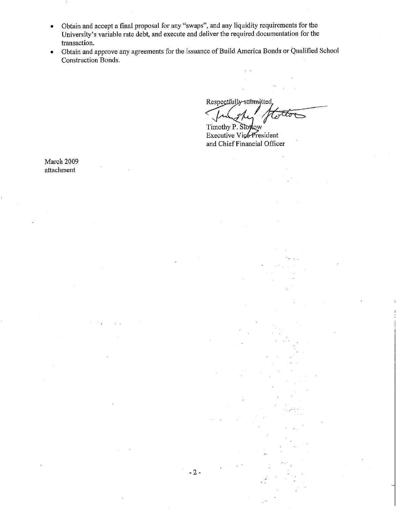- Obtain and accept a final proposal for any "swaps", and any liquidity requirements for the University's variable rate debt, and execute and deliver the required documentation for the transaction.
- Obtain and approve any agreements for the issuance of Build America Bonds or Qualified School Construction Bonds.

Respectfully-submitted, Timothy P. Slotow

Executive Vice-President and Chief Financial Officer

March 2009 attachment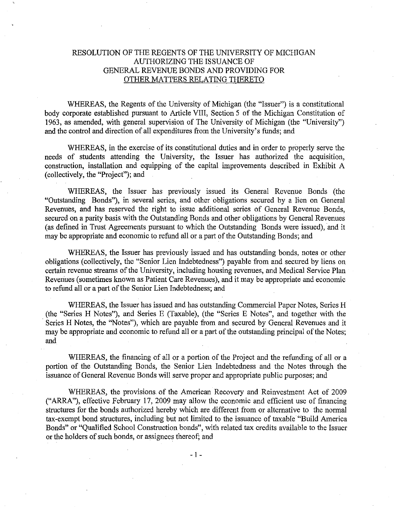# RESOLUTION OF THE REGENTS OF THE UNIVERSITY OF MICHIGAN AUTHORIZING THE ISSUANCE OF GENERAL REVENUE BONDS AND PROVIDING FOR OTHER MATTERS RELATING THERETO

WHEREAS, the Regents of the University of Michigan (the "Issuer") is a constitutional body corporate established pursuant to Article VIII, Section 5 of the Michigan Constitution of 1963, as amended, with general supervision of The University of Michigan (the "University") and the control and direction of all expenditures from the University's funds; and

WHEREAS, in the exercise of its constitutional duties and in order to properly serve the needs of students attending the University, the Issuer has authorized the acquisition, construction, installation and equipping of the capital improvements described in Exhibit A (collectively, the "Project"); and

WHEREAS, the Issuer has previously issued its General Revenue Bonds (the "Outstanding Bonds"), in several series, and other obligations secured by a lien on General Revenues, and has reserved the right to issue additional series of General Revenue Bonds, secured on a parity basis with the Outstanding Bonds and other obligations by General Revenues (as defined in Trust Agreements pursuant to which the Outstanding Bonds were issued), and it may be appropriate and economic to refund all or a part of the Outstanding Bonds; and

WHEREAS, the Issuer has previously issued and has outstanding bonds, notes or other obligations (collectively, the "Senior Lien Indebtedness") payable from and secured by liens on certain revenue streams of the University, including housing revenues, and Medical Service Plan Revenues (sometimes known as Patient Care Revenues), and it may be appropriate and economic to refund all or a part of the Senior Lien Indebtedness; and

WHEREAS, the Issuer has issued and has outstanding Commercial Paper Notes, Series H (the "Series H Notes"), and Series E (Taxable), (the "Series E Notes", and together with the Series H Notes, the "Notes"), which are payable from and secured by General Revenues and it may be appropriate and economic to refund all or a part of the outstanding principal of the Notes; and

WHEREAS, the financing of all or a portion of the Project and the refunding of all or a portion of the Outstanding Bonds, the Senior Lien Indebtedness and the Notes through the issuance of General Revenue Bonds will serve proper and appropriate public purposes; and

WHEREAS, the provisions. of the American Recovery and Reinvestment Act of 2009 ("ARRA"), effective February 17, 2009 may allow the economic and efficient use of financing structures for the bonds authorized hereby which are different from or alternative to the normal tax-exempt bond structures, including but not limited to the issuance of taxable "Build America Bonds" or "Qualified School Construction bonds", with related tax credits available to the Issuer or the holders of such bonds, or assignees thereof; and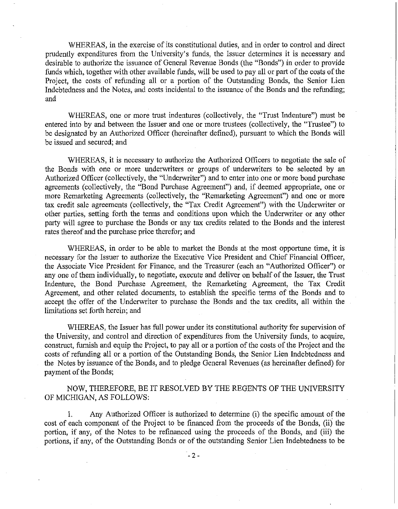WHEREAS, in the exercise of its constitutional duties, and in order to control and direct prudently expenditures from the University's funds, the Issuer determines it is necessary and desirable to authorize the issuance of General Revenue Bonds (the "Bonds") in order to provide funds which, together with other available funds, will be used to pay all or part of the costs of the Project, the costs of refunding all or a portion of the Outstanding Bonds, the Senior Lien Indebtedness and the Notes, and costs incidental to the issuance of the Bonds and the refunding; and

WHEREAS, one or more trust indentures (collectively, the "Trust Indenture") must be entered into by and between the Issuer and one or more trustees (collectively, the "Trustee") to be designated by an Authorized Officer (hereinafter defined), pursuant to which the Bonds will be issued and secured; and

WHEREAS, it is necessary to authorize the Authorized Officers to negotiate the sale of the Bonds with one or more underwriters or groups of underwriters to be selected by an Authorized Officer (collectively, the "Underwriter") and to enter into one or more bond purchase agreements (collectively, the "Bond Purchase Agreement") and, if deemed appropriate, one or more Remarketing Agreements (collectively, the "Remarketing Agreement") and one or more tax credit sale agreements (collectively, the "Tax Credit Agreement") with the Underwriter or other parties, setting forth the terms and conditions upon which the Underwriter or any other party will agree to purchase the Bonds or any tax credits related to the Bonds and the interest rates thereof and the purchase price therefor; and

WHEREAS, in order to be able to market the Bonds at the most opportune time, it is necessary for the Issuer to authorize the Executive Vice President and Chief Financial Officer, the Associate Vice President for Finance, and the Treasurer (each an "Authorized Officer") or any one of them individually, to negotiate, execute and deliver on behalf of the Issuer, the Trust Indenture, the Bond Purchase Agreement, the Remarketing Agreement, the Tax Credit Agreement, and other related documents, to establish the specific terms of the Bonds and to accept the offer of the Underwriter to purchase the Bonds and the tax credits, ail within the limitations set forth herein; and

WHEREAS, the Issuer has full power under its constitutional authority for supervision of the University, and control and direction of expenditures from the University funds, to acquire, construct, furnish and equip the Project, to pay all or a portion of the costs of the Project and the costs of refunding all or a portion of the Outstanding Bonds, the Senior Lien Indebtedness and the Notes by issuance of the Bonds, and to pledge General Revenues (as hereinafter defined) for payment of the Bonds;

NOW, THEREFORE, BE IT RESOLVED BY THE REGENTS OF THE UNIVERSITY OF MICHIGAN, AS FOLLOWS:

1. Any Authorized Officer is authorized to determine (i) the specific amount of the cost of each component of the Project to be fmanced from the proceeds of the Bonds, (ii) the portion, if any, of the Notes to be refinanced using the proceeds of the Bonds, and (iii) the portions, if any, of the Outstanding Bonds or of the outstanding Senior Lien Indebtedness to be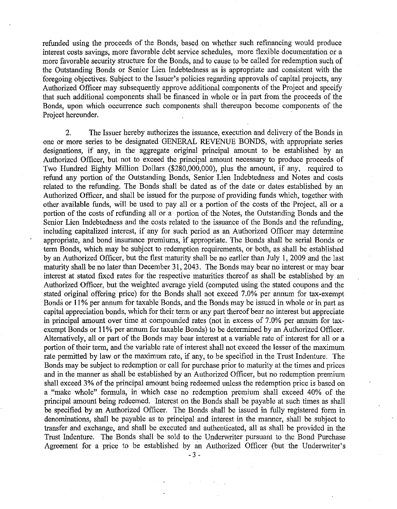refunded using the proceeds of the Bonds, based on whether such refinancing would produce interest costs savings, more favorable debt service schedules, more flexible documentation or a more favorable security structure for the Bonds, and to cause to be called for redemption such of the Outstanding Bonds or Senior Lien Indebtedness as is appropriate and consistent with the foregoing objectives. Subject to the Issuer's policies regarding approvals of capital projects, any Authorized Officer may subsequently approve additional components of the Project and specify that such additional components shall be financed in whole or in part from the proceeds of the Bonds, upon which occurrence such components shall thereupon become components of the Project hereunder.

2. The Issuer hereby authorizes the issuance, execution and delivery of the Bonds in one or more series to be designated GENERAL REVENUE BONDS, with appropriate series designations, if any, in the aggregate original principal amount to be established by an Authorized Officer, but not to exceed the principal amount necessary to produce proceeds of Two Hundred Eighty Million Dollars (\$280,000,000), plus the amount, if any, required to refund any portion of the Outstanding Bonds, Senior Lien Indebtedness and Notes and costs related to the refunding. The Bonds shall be dated as of the date or dates established by an Authorized Officer, and shall be issued for the purpose of providing funds which, together with other available funds, will be used to pay all or a portion of the costs of the Project, all or a portion of the costs of refunding all or a portion of the Notes, the Outstanding Bonds and the Senior Lien Indebtedness and the costs related to the issuance of the Bonds and the refunding, including capitalized interest, if any for such period as an Authorized Officer may determine appropriate, and bond insurance premiums, if appropriate. The Bonds shall be serial Bonds or term Bonds, which may be subject to redemption requirements, or both, as shall be established by an Authorized Officer, but the first maturity shall be no earlier than July 1, 2009 and the last maturity shall be no later than December 31, 2043. The Bonds may bear no interest or may bear interest at stated fixed rates for the respective maturities thereof as shall be established by an Authorized Officer, but the weighted average yield (computed using the stated coupons and the stated original offering price) for the Bonds shall not exceed 7.0% per annum for tax-exempt Bonds or 11% per annum for taxable Bonds, and the Bonds may be issued in whole or in part as capital appreciation bonds, which for their term or any part thereof bear no interest but appreciate in principal amount over time at compounded rates (not in excess of 7.0% per annum for taxexempt Bonds or 11% per annum for taxable Bonds) to be determined by an Authorized Officer. Alternatively, all or part of the Bonds may bear interest at a variable rate of interest for all or a portion of their term, and the variable rate of interest shall not exceed the lesser of the maximum rate permitted by law or the maximum rate, if any, to be specified in the Trust Indenture. The Bonds may be subject to redemption or call for purchase prior to maturity at the times and prices and in the manner as shall be established by an Authorized Officer, but no redemption premium shall exceed 3% of the principal amount being redeemed unless the redemption price is based on a "make whole" formula, in which case no redemption premium shall exceed 40% of the principal amount being redeemed. Interest on the Bonds shall be payable at such times as shall be specified by an Authorized Officer. The Bonds shall be issued in fully registered form in denominations, shall be payable as to principal and interest in the manner, shall be subject to transfer and exchange, and shall be executed and authenticated, all as shall be provided in the Trust Indenture. The Bonds shall be sold to the Underwriter pursuant to the Bond Purchase Agreement for a price to be established by an Authorized Officer (but the Underwriter's

- 3 -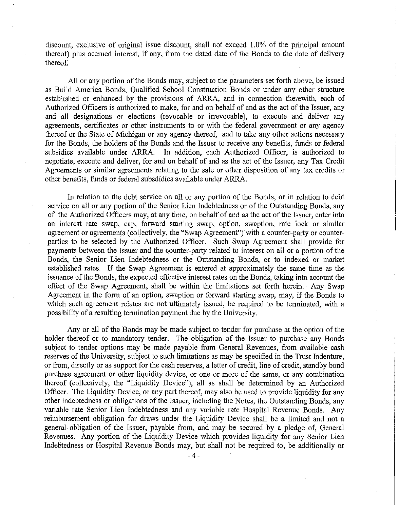discount, exclusive of original issue discount, shall not exceed 1.0% of the principal amount thereof) plus accrued interest, if any, from the dated date of the Bonds to the date of delivery thereof.

All or any portion of the Bonds may, subject to the parameters set forth above, be issued as Build America Bonds, Qualified School Construction Bonds or under any other structure established or enhanced by the provisions of ARRA, and in connection therewith, each of Authorized Officers is authorized to make, for and on behalf of and as the act of the Issuer, any and all designations or elections (revocable or irrevocable), to execute and deliver any agreements, certificates or other instruments to or with the federal government or any agency thereof or the State of Michigan or any agency thereof, and to take any other actions necessary for the Bonds, the holders of the Bonds and the Issuer to receive any benefits, funds or federal subsidies available under ARRA. In addition, each Authorized Officer, is authorized to negotiate, execute and deliver, for and on behalf of and as the act of the Issuer, any Tax Credit Agreements or similar agreements relating to the sale or other disposition of any tax credits or other benefits, funds or federal subsdidies available under ARRA.

In relation to the debt service on all or any portion of the Bonds, or in relation to debt service on all or any portion of the Senior Lien Indebtedness or of the Outstanding Bonds, any of the Authorized Officers may, at any time, on behalf of and as the act of the Issuer, enter into an interest rate swap, cap, forward starting swap, option, swaption, rate lock or similar agreement or agreements (collectively, the "Swap Agreement") with a counter-party or counterparties to be selected by the Authorized Officer. Such Swap Agreement shall provide for payments between the Issuer and the counter-party related to interest on all or a portion of the Bonds, the Senior Lien Indebtedness or the Outstanding Bonds, or to indexed or market established rates. If the Swap Agreement is entered at approximately the same time as the issuance of the Bonds, the expected effective interest rates on the Bonds, taking into account the effect of the Swap Agreement, shall be within the limitations set forth herein. Any Swap Agreement in the form of an option, swaption or forward starting swap, may, if the Bonds to which such agreement relates are not ultimately issued, be required to be terminated, with a possibility of a resulting termination payment due by the University.

Any or all of the Bonds may be made subject to tender for purchase at the option of the holder thereof or to mandatory tender. The obligation of the Issuer to purchase any Bonds subject to tender options may be made payable from General Revenues, from available cash reserves of the University, subject to such limitations as may be specified in the Trust Indenture, or from, directly or as support for the cash reserves, a letter of credit, line of credit, standby bond purchase agreement or other liquidity device, or one or more of the same, or any combination thereof (collectively, the "Liquidity Device"), all as shall be determined by an Authorized Officer. The Liquidity Device, or any part thereof, may also be used to provide liquidity for any other indebtedness or obligations of the Issuer, including the Notes, the Outstanding Bonds, any variable rate Senior Lien Indebtedness and any variable rate Hospital Revenue Bonds. Any reimbursement obligation for draws under the Liquidity Device shall be a limited and not a general obligation of the Issuer, payable from, and may be secured by a pledge of, General Revenues. Any portion of the Liquidity Device which provides liquidity for any Senior Lien Indebtedness or Hospital Revenue Bonds may, but shall not be required to, be additionally or

- 4-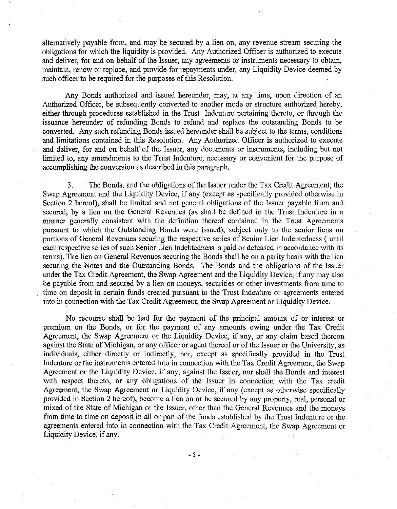alternatively payable from, and may be secured by a lien on, any revenue stream securing the obligations for which the liquidity is provided. Any Authorized Officer is authorized to execute and deliver, for and on behalf of the Issuer, any agreements or instruments necessary to obtain, maintain, renew or replace, and provide for repayments under, any Liquidity Device deemed by such officer to be required for the purposes of this Resolution.

Any Bonds authorized and issued hereunder, may, at any time, upon direction of an Authorized Officer, be subsequently converted to another mode or structure authorized hereby, either through procedures established in the Trust Indenture pertaining thereto, or through the issuance hereunder of refunding Bonds to refund and replace the outstanding Bonds to be converted. Any such refunding Bonds issued hereunder shall be subject to the terms, conditions and limitations contained in this Resolution. Any Authorized Officer is authorized to execute and deliver, for and on behalf of the Issuer, any documents or instruments, including but not limited to, any amendments to the Trust Indenture, necessary or convenient for the purpose of accomplishing the conversion as described in this paragraph. .

3. The Bonds, and the obligations of the Issuer under the Tax Credit Agreement, the Swap Agreement and the Liquidity Device, if any (except as specifically provided otherwise in Section 2 hereof), shall be limited and not general obligations of the Issuer payable from and secured, by a lien on the General Revenues (as shall be defined in the Trust Indenture in a manner generally consistent with the definition thereof contained in the Trust Agreements pursuant to which the Outstanding Bonds were issued), subject only to the senior liens on portions of General Revenues securing the respective series of Senior Lien Indebtedness ( until each respective series of such Senior Lien Indebtedness is paid or defeased in accordance with its terms). The lien on General Revenues securing the Bonds shall be on a parity basis with the lien securing the Notes and the Outstanding Bonds. The Bonds and the obligations of the Issuer under the Tax Credit Agreement, the Swap Agreement and the Liquidity Device, if any may also be payable from and secured by a lien on moneys, securities or other investments from time to time on deposit in certain funds created pursuant to the Trust Indenture or agreements entered into in connection with the Tax Credit Agreement, the Swap Agreement or Liquidity Device.

No recourse shall be had for the payment of the principal amount of or interest or premium on the Bonds, or for the payment of any amounts owing under the Tax Credit Agreement, the Swap Agreement or the Liquidity Device, if any, or any claim based thereon against the State of Michigan, or any officer or agent thereof or of the Issuer or the University, as individuals, either directly or indirectly, nor, except as specifically provided in the Trust Indenture or the instruments entered into in connection with the Tax Credit Agreement, the Swap Agreement or the Liquidity Device, if any, against the Issuer, nor shall the Bonds and interest with respect thereto, or any obligations of the Issuer in connection with the Tax credit Agreement, the Swap Agreement or Liquidity Device, if any (except as otherwise specifically provided in Section 2 hereof), become a lien on or be secured by any property, real, personal or mixed of the State of Michigan or the Issuer, other than the General Revenues and the moneys from time to time on deposit in all or part of the funds established by the Trust Indenture or the agreements entered into in connection with the Tax Credit Agreement, the Swap Agreement or Liquidity Device, if any.

 $-5 -$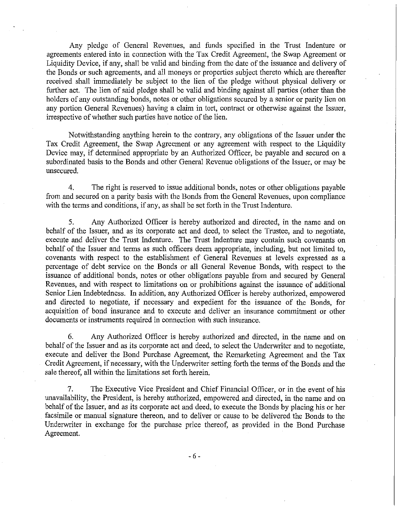Any pledge of General Revenues, and funds specified in the Trust Indenture or agreements entered into in connection with the Tax Credit Agreement, the Swap Agreement or Liquidity Device, if any, shall be valid and binding from the date of the issuance and delivery of the Bonds or such agreements, and all moneys or properties subject thereto which are thereafter received shall immediately be subject to the lien of the pledge without physical delivery or further act. The lien of said pledge shall be valid and binding against all parties (other than the holders of any outstanding bonds, notes or other obligations secured by a senior or parity lien on any portion General Revenues) having a claim in tort, contract or otherwise against the Issuer, irrespective of whether such parties have notice of the lien.

Notwithstanding anything herein to the contrary, any obligations of the Issuer under the Tax Credit Agreement, the Swap Agreement or any agreement with respect to the Liquidity Device may, if determined appropriate by an Authorized Officer, be payable and secured on a subordinated basis to the Bonds and other General Revenue obligations of the Issuer, or may be unsecured.

4. The right is reserved to issue additional bonds, notes or other obligations payable from and secured on a parity basis with the Bonds from the General Revenues, upon compliance with the terms and conditions, if any, as shall be set forth in the Trust Indenture.

5. Any Authorized Officer is hereby authorized and directed, in the name and on behalf of the Issuer, and as its corporate act and deed, to select the Trustee, and to negotiate, execute and deliver the Trust Indenture. The Trust Indenture may contain such covenants on behalf of the Issuer and terms as such officers deem appropriate, including, but not limited to, covenants with respect to the establishment of General Revenues at levels expressed as a percentage of debt service on the Bonds or all General Revenue Bonds, with respect to the issuance of additional bonds, notes or other obligations payable from and secured by General Revenues, and with respect to limitations on or prohibitions against the issuance of additional Senior Lien Indebtedness. In addition, any Authorized Officer is hereby authorized, empowered and directed to negotiate, if necessary and expedient for the issuance of the Bonds, for acquisition of bond insurance and to execute and deliver an insurance commitment or other documents or instruments required in connection with such insurance.

6. Any Authorized Officer is hereby authorized and directed, in the name and on behalf of the Issuer and as its corporate act and deed, to select the Underwriter and to negotiate, execute and deliver the Bond Purchase Agreement, the Remarketing Agreement and the Tax Credit Agreement, if necessary, with the Underwriter setting forth the terms of the Bonds and the sale thereof, all within the limitations set forth herein.

7. The Executive Vice President and Chief Financial Officer, or in the event of his unavailability, the President, is hereby authorized, empowered and directed, in the name and on behalf of the Issuer, and as its corporate act and deed, to execute the Bonds by placing his or her facsimile or manual signature thereon, and to deliver or cause to be delivered the Bonds to the Underwriter in exchange for the purchase price thereof, as provided in the Bond Purchase Agreement.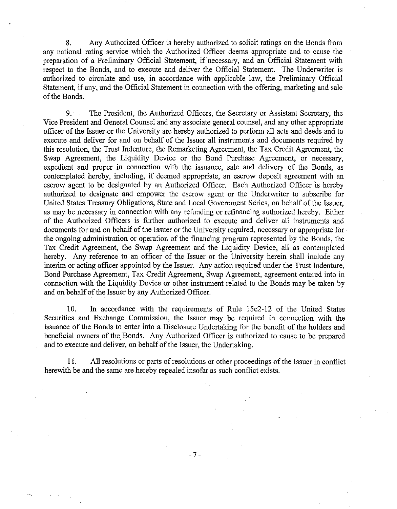8. Any Authorized Officer is hereby authorized to solicit ratings on the Bonds from any national rating service which the Authorized Officer deems appropriate and to cause the preparation of a Preliminary Official Statement, if necessary, and an Official Statement with respect to the Bonds, and to execute and deliver the Official Statement. The Underwriter is authorized to circulate and use, in accordance with applicable law, the Preliminary Official Statement, if any, and the Official Statement in connection with the offering, marketing and sale of the Bonds.

9. The President, the Authorized Officers, the Secretary or Assistant Secretary, the Vice President and General Connsel and any associate general counsel, and any other appropriate officer of the Issuer or the University are hereby authorized to perform all acts and deeds and to execute and deliver for and on behalf of the Issuer all instruments and documents required by this resolution, the Trust Indenture, the Remarketing Agreement, the Tax Credit Agreement, the Swap Agreement, the Liquidity Device or the Bond Purchase Agreement, or necessary, expedient and proper in connection with the issuance, sale and delivery of the Bonds, as contemplated hereby, including, if deemed appropriate, an escrow deposit agreement with an escrow agent to be designated by an Authorized Officer. Each Authorized Officer is hereby authorized to designate and empower the escrow agent or the Underwriter to subscribe for United States Treasury Obligations, State and Local Government Series, on behalf of the Issuer, as may be necessary in connection with any refunding or refinancing authorized hereby. Either of the Authorized Officers is further authorized to execute and deliver all instruments and documents for and on behalf of the Issuer or the University required, necessary or appropriate for the ongoing administration or operation of the financing program represented by the Bonds, the Tax Credit Agreement, the Swap Agreement and the Liquidity Device, all as contemplated hereby. Any reference to an officer of the Issuer or the University herein shall include any interim or acting officer appointed by the Issuer. Any action required under the Trust Indenture, Bond Purchase Agreement, Tax Credit Agreement, Swap Agreement, agreement entered into in connection with the Liquidity Device or other instrument related to the Bonds may be taken by and on behalf of the Issuer by any Authorized Officer.

10. **In** accordance with the requirements of Rille 15c2-12 of the United States Securities and Exchange Commission, the Issuer may be required in connection with the issuance of the Bonds to enter into a Disclosure Undertaking for the benefit of the holders and beneficial owners of the Bonds. Any Authorized Officer is authorized to cause to be prepared and to execute and deliver, on behalf of the Issuer, the Undertaking.

11. All resolutions or parts of resolutions or other proceedings of the Issuer in conflict herewith be and the same are hereby repealed insofar as such conflict exists.